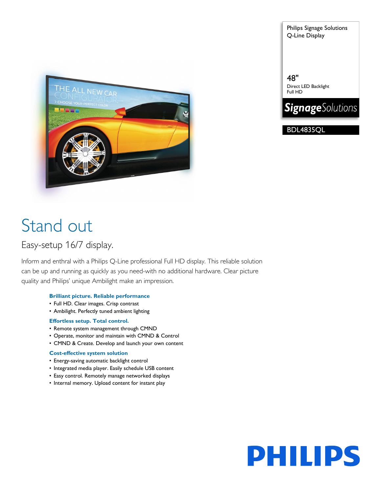Philips Signage Solutions Q-Line Display

THE ALL NEW CAR **JET** 

# Stand out

## Easy-setup 16/7 display.

Inform and enthral with a Philips Q-Line professional Full HD display. This reliable solution can be up and running as quickly as you need-with no additional hardware. Clear picture quality and Philips' unique Ambilight make an impression.

### **Brilliant picture. Reliable performance**

- Full HD. Clear images. Crisp contrast
- Ambilight. Perfectly tuned ambient lighting

### **Effortless setup. Total control.**

- Remote system management through CMND
- Operate, monitor and maintain with CMND & Control
- CMND & Create. Develop and launch your own content

### **Cost-effective system solution**

- Energy-saving automatic backlight control
- Integrated media player. Easily schedule USB content
- Easy control. Remotely manage networked displays
- Internal memory. Upload content for instant play



48" Direct LED Backlight Full HD



BDL4835QL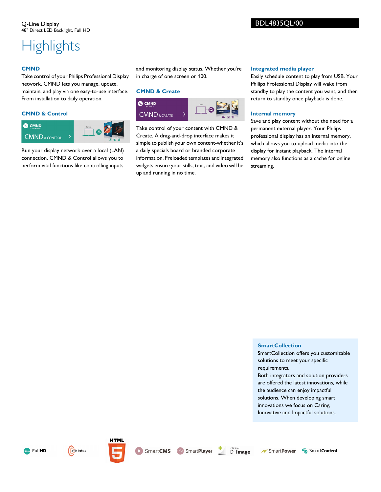## **Highlights**

### **CMND**

Take control of your Philips Professional Display network. CMND lets you manage, update, maintain, and play via one easy-to-use interface. From installation to daily operation.

### **CMND & Control**



Run your display network over a local (LAN) connection. CMND & Control allows you to perform vital functions like controlling inputs and monitoring display status. Whether you're in charge of one screen or 100.

### **CMND & Create**



Take control of your content with CMND & Create. A drag-and-drop interface makes it simple to publish your own content-whether it's a daily specials board or branded corporate information. Preloaded templates and integrated widgets ensure your stills, text, and video will be up and running in no time.

### **Integrated media player**

Easily schedule content to play from USB. Your Philips Professional Display will wake from standby to play the content you want, and then return to standby once playback is done.

### **Internal memory**

Save and play content without the need for a permanent external player. Your Philips professional display has an internal memory, which allows you to upload media into the display for instant playback. The internal memory also functions as a cache for online streaming.

### **SmartCollection**

SmartCollection offers you customizable solutions to meet your specific requirements.

Both integrators and solution providers are offered the latest innovations, while the audience can enjoy impactful solutions. When developing smart innovations we focus on Caring, Innovative and Impactful solutions.









**SmartCMS** SmartPlayer